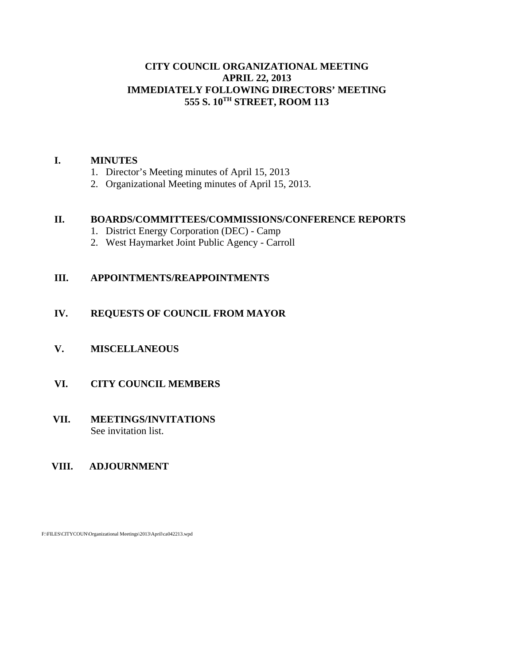# **CITY COUNCIL ORGANIZATIONAL MEETING APRIL 22, 2013 IMMEDIATELY FOLLOWING DIRECTORS' MEETING 555 S. 10TH STREET, ROOM 113**

# **I. MINUTES**

- 1. Director's Meeting minutes of April 15, 2013
- 2. Organizational Meeting minutes of April 15, 2013.

# **II. BOARDS/COMMITTEES/COMMISSIONS/CONFERENCE REPORTS**

- 1. District Energy Corporation (DEC) Camp
- 2. West Haymarket Joint Public Agency Carroll

# **III. APPOINTMENTS/REAPPOINTMENTS**

# **IV. REQUESTS OF COUNCIL FROM MAYOR**

**V. MISCELLANEOUS**

# **VI. CITY COUNCIL MEMBERS**

# **VII. MEETINGS/INVITATIONS** See invitation list.

# **VIII. ADJOURNMENT**

F:\FILES\CITYCOUN\Organizational Meetings\2013\April\ca042213.wpd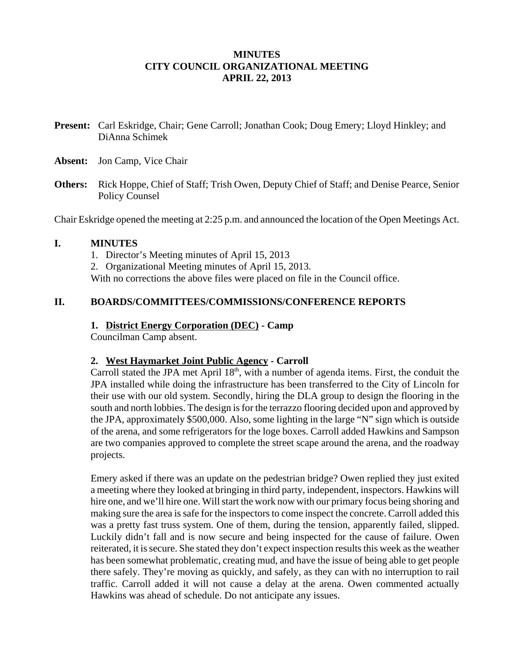# **MINUTES CITY COUNCIL ORGANIZATIONAL MEETING APRIL 22, 2013**

- **Present:** Carl Eskridge, Chair; Gene Carroll; Jonathan Cook; Doug Emery; Lloyd Hinkley; and DiAnna Schimek
- **Absent:** Jon Camp, Vice Chair
- **Others:** Rick Hoppe, Chief of Staff; Trish Owen, Deputy Chief of Staff; and Denise Pearce, Senior Policy Counsel

Chair Eskridge opened the meeting at 2:25 p.m. and announced the location of the Open Meetings Act.

# **I. MINUTES**

- 1. Director's Meeting minutes of April 15, 2013
- 2. Organizational Meeting minutes of April 15, 2013.

With no corrections the above files were placed on file in the Council office.

# **II. BOARDS/COMMITTEES/COMMISSIONS/CONFERENCE REPORTS**

# **1. District Energy Corporation (DEC) - Camp**

Councilman Camp absent.

# **2. West Haymarket Joint Public Agency - Carroll**

Carroll stated the JPA met April  $18<sup>th</sup>$ , with a number of agenda items. First, the conduit the JPA installed while doing the infrastructure has been transferred to the City of Lincoln for their use with our old system. Secondly, hiring the DLA group to design the flooring in the south and north lobbies. The design is for the terrazzo flooring decided upon and approved by the JPA, approximately \$500,000. Also, some lighting in the large "N" sign which is outside of the arena, and some refrigerators for the loge boxes. Carroll added Hawkins and Sampson are two companies approved to complete the street scape around the arena, and the roadway projects.

Emery asked if there was an update on the pedestrian bridge? Owen replied they just exited a meeting where they looked at bringing in third party, independent, inspectors. Hawkins will hire one, and we'll hire one. Will start the work now with our primary focus being shoring and making sure the area is safe for the inspectors to come inspect the concrete. Carroll added this was a pretty fast truss system. One of them, during the tension, apparently failed, slipped. Luckily didn't fall and is now secure and being inspected for the cause of failure. Owen reiterated, it is secure. She stated they don't expect inspection results this week as the weather has been somewhat problematic, creating mud, and have the issue of being able to get people there safely. They're moving as quickly, and safely, as they can with no interruption to rail traffic. Carroll added it will not cause a delay at the arena. Owen commented actually Hawkins was ahead of schedule. Do not anticipate any issues.